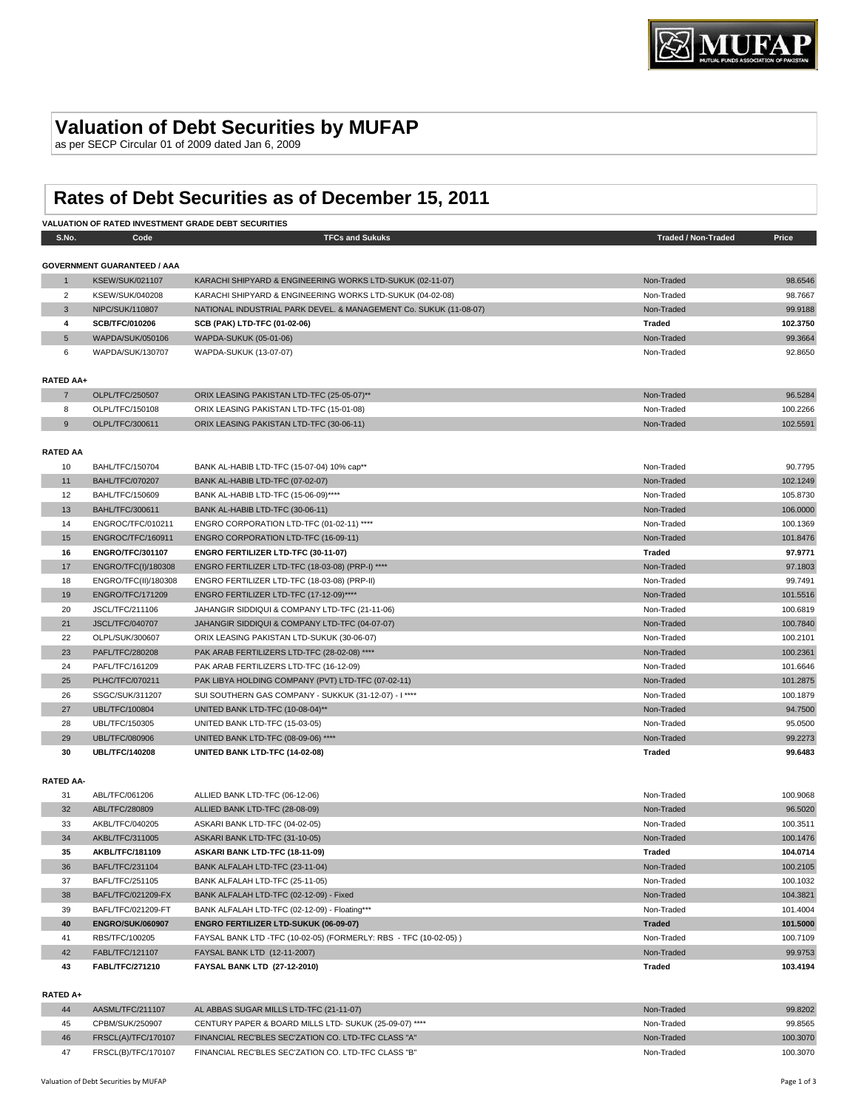# **Valuation of Debt Securities by MUFAP**

as per SECP Circular 01 of 2009 dated Jan 6, 2009

# **Rates of Debt Securities as of December 15, 2011**

|                       |                                           | VALUATION OF RATED INVESTMENT GRADE DEBT SECURITIES                                                |                            |                    |
|-----------------------|-------------------------------------------|----------------------------------------------------------------------------------------------------|----------------------------|--------------------|
| S.No.                 | Code                                      | <b>TFCs and Sukuks</b>                                                                             | <b>Traded / Non-Traded</b> | Price              |
|                       |                                           |                                                                                                    |                            |                    |
|                       | <b>GOVERNMENT GUARANTEED / AAA</b>        |                                                                                                    |                            |                    |
| $\mathbf{1}$          | <b>KSEW/SUK/021107</b>                    | KARACHI SHIPYARD & ENGINEERING WORKS LTD-SUKUK (02-11-07)                                          | Non-Traded                 | 98.6546            |
| 2                     | <b>KSEW/SUK/040208</b>                    | KARACHI SHIPYARD & ENGINEERING WORKS LTD-SUKUK (04-02-08)                                          | Non-Traded                 | 98.7667            |
| 3                     | NIPC/SUK/110807                           | NATIONAL INDUSTRIAL PARK DEVEL. & MANAGEMENT Co. SUKUK (11-08-07)                                  | Non-Traded                 | 99.9188            |
| 4                     | SCB/TFC/010206                            | SCB (PAK) LTD-TFC (01-02-06)                                                                       | <b>Traded</b>              | 102.3750           |
| 5                     | WAPDA/SUK/050106                          | WAPDA-SUKUK (05-01-06)                                                                             | Non-Traded                 | 99.3664            |
| 6                     | WAPDA/SUK/130707                          | WAPDA-SUKUK (13-07-07)                                                                             | Non-Traded                 | 92.8650            |
|                       |                                           |                                                                                                    |                            |                    |
| <b>RATED AA+</b>      |                                           |                                                                                                    |                            |                    |
| $\overline{7}$        | OLPL/TFC/250507                           | ORIX LEASING PAKISTAN LTD-TFC (25-05-07)**                                                         | Non-Traded                 | 96.5284            |
| 8                     | OLPL/TFC/150108                           | ORIX LEASING PAKISTAN LTD-TFC (15-01-08)                                                           | Non-Traded                 | 100.2266           |
| 9                     | OLPL/TFC/300611                           | ORIX LEASING PAKISTAN LTD-TFC (30-06-11)                                                           | Non-Traded                 | 102.5591           |
|                       |                                           |                                                                                                    |                            |                    |
| <b>RATED AA</b><br>10 | BAHL/TFC/150704                           | BANK AL-HABIB LTD-TFC (15-07-04) 10% cap**                                                         | Non-Traded                 | 90.7795            |
| 11                    | <b>BAHL/TFC/070207</b>                    | BANK AL-HABIB LTD-TFC (07-02-07)                                                                   | Non-Traded                 | 102.1249           |
| 12                    | <b>BAHL/TFC/150609</b>                    | BANK AL-HABIB LTD-TFC (15-06-09)****                                                               |                            | 105.8730           |
| 13                    | <b>BAHL/TFC/300611</b>                    | BANK AL-HABIB LTD-TFC (30-06-11)                                                                   | Non-Traded<br>Non-Traded   | 106.0000           |
| 14                    | ENGROC/TFC/010211                         | ENGRO CORPORATION LTD-TFC (01-02-11) ****                                                          | Non-Traded                 | 100.1369           |
| 15                    | ENGROC/TFC/160911                         | ENGRO CORPORATION LTD-TFC (16-09-11)                                                               | Non-Traded                 | 101.8476           |
| 16                    | ENGRO/TFC/301107                          | ENGRO FERTILIZER LTD-TFC (30-11-07)                                                                | <b>Traded</b>              | 97.9771            |
|                       |                                           | ENGRO FERTILIZER LTD-TFC (18-03-08) (PRP-I) ****                                                   |                            |                    |
| 17                    | ENGRO/TFC(I)/180308                       |                                                                                                    | Non-Traded<br>Non-Traded   | 97.1803<br>99.7491 |
| 18                    | ENGRO/TFC(II)/180308                      | ENGRO FERTILIZER LTD-TFC (18-03-08) (PRP-II)                                                       |                            |                    |
| 19                    | <b>ENGRO/TFC/171209</b>                   | ENGRO FERTILIZER LTD-TFC (17-12-09)****                                                            | Non-Traded                 | 101.5516           |
| 20<br>21              | JSCL/TFC/211106                           | JAHANGIR SIDDIQUI & COMPANY LTD-TFC (21-11-06)                                                     | Non-Traded                 | 100.6819           |
|                       | JSCL/TFC/040707                           | JAHANGIR SIDDIQUI & COMPANY LTD-TFC (04-07-07)                                                     | Non-Traded                 | 100.7840           |
| 22                    | OLPL/SUK/300607                           | ORIX LEASING PAKISTAN LTD-SUKUK (30-06-07)                                                         | Non-Traded                 | 100.2101           |
| 23                    | PAFL/TFC/280208                           | PAK ARAB FERTILIZERS LTD-TFC (28-02-08) ****                                                       | Non-Traded                 | 100.2361           |
| 24                    | PAFL/TFC/161209                           | PAK ARAB FERTILIZERS LTD-TFC (16-12-09)                                                            | Non-Traded                 | 101.6646           |
| 25                    | PLHC/TFC/070211                           | PAK LIBYA HOLDING COMPANY (PVT) LTD-TFC (07-02-11)                                                 | Non-Traded                 | 101.2875           |
| 26                    | SSGC/SUK/311207                           | SUI SOUTHERN GAS COMPANY - SUKKUK (31-12-07) - I ****                                              | Non-Traded                 | 100.1879           |
| 27                    | <b>UBL/TFC/100804</b>                     | UNITED BANK LTD-TFC (10-08-04)**                                                                   | Non-Traded                 | 94.7500            |
| 28                    | UBL/TFC/150305                            | UNITED BANK LTD-TFC (15-03-05)                                                                     | Non-Traded                 | 95.0500            |
| 29                    | <b>UBL/TFC/080906</b>                     | UNITED BANK LTD-TFC (08-09-06) ****                                                                | Non-Traded                 | 99.2273            |
| 30                    | <b>UBL/TFC/140208</b>                     | UNITED BANK LTD-TFC (14-02-08)                                                                     | <b>Traded</b>              | 99.6483            |
|                       |                                           |                                                                                                    |                            |                    |
| <b>RATED AA-</b>      |                                           |                                                                                                    |                            |                    |
| 31                    | ABL/TFC/061206<br>ABL/TFC/280809          | ALLIED BANK LTD-TFC (06-12-06)                                                                     | Non-Traded                 | 100.9068           |
| 32                    |                                           | ALLIED BANK LTD-TFC (28-08-09)                                                                     | Non-Traded<br>Non-Traded   | 96.5020            |
| 33                    | AKBL/TFC/040205<br><b>AKBL/TFC/311005</b> | ASKARI BANK LTD-TFC (04-02-05)                                                                     |                            | 100.3511           |
| 34                    |                                           | ASKARI BANK LTD-TFC (31-10-05)                                                                     | Non-Traded                 | 100.1476           |
| 35                    | AKBL/TFC/181109                           | ASKARI BANK LTD-TFC (18-11-09)                                                                     | <b>Traded</b>              | 104.0714           |
| 36                    | BAFL/TFC/231104                           | BANK ALFALAH LTD-TFC (23-11-04)                                                                    | Non-Traded                 | 100.2105           |
| 37                    | BAFL/TFC/251105                           | BANK ALFALAH LTD-TFC (25-11-05)                                                                    | Non-Traded                 | 100.1032           |
| 38                    | BAFL/TFC/021209-FX                        | BANK ALFALAH LTD-TFC (02-12-09) - Fixed                                                            | Non-Traded                 | 104.3821           |
| 39                    | BAFL/TFC/021209-FT                        | BANK ALFALAH LTD-TFC (02-12-09) - Floating***                                                      | Non-Traded                 | 101.4004           |
| 40                    | <b>ENGRO/SUK/060907</b>                   | ENGRO FERTILIZER LTD-SUKUK (06-09-07)                                                              | <b>Traded</b>              | 101.5000           |
| 41                    | RBS/TFC/100205                            | FAYSAL BANK LTD -TFC (10-02-05) (FORMERLY: RBS - TFC (10-02-05))                                   | Non-Traded                 | 100.7109           |
| 42                    | FABL/TFC/121107                           | FAYSAL BANK LTD (12-11-2007)                                                                       | Non-Traded                 | 99.9753            |
| 43                    | FABL/TFC/271210                           | FAYSAL BANK LTD (27-12-2010)                                                                       | <b>Traded</b>              | 103.4194           |
|                       |                                           |                                                                                                    |                            |                    |
| RATED A+              |                                           |                                                                                                    |                            |                    |
| 44<br><b>AE</b>       | AASML/TFC/211107<br>CODM/CLIV/OE0007      | AL ABBAS SUGAR MILLS LTD-TFC (21-11-07)<br>CENTURY BARER & ROADD MILLS LTD. CUVUIV (25.00.07) **** | Non-Traded<br>Non Traded   | 99.8202<br>00 PEGE |

# CPBM/SUK/250907 CENTURY PAPER & BOARD MILLS LTD- SUKUK (25-09-07) \*\*\*\* Non-Traded 99.8565 46 FRSCL(A)/TFC/170107 FINANCIAL REC'BLES SEC'ZATION CO. LTD-TFC CLASS "A" Non-Traded Non-Traded Non-Traded 100.3070 47 FRSCL(B)/TFC/170107 FINANCIAL REC'BLES SEC'ZATION CO. LTD-TFC CLASS "B" Non-Traded Non-Traded Non-Traded 100.3070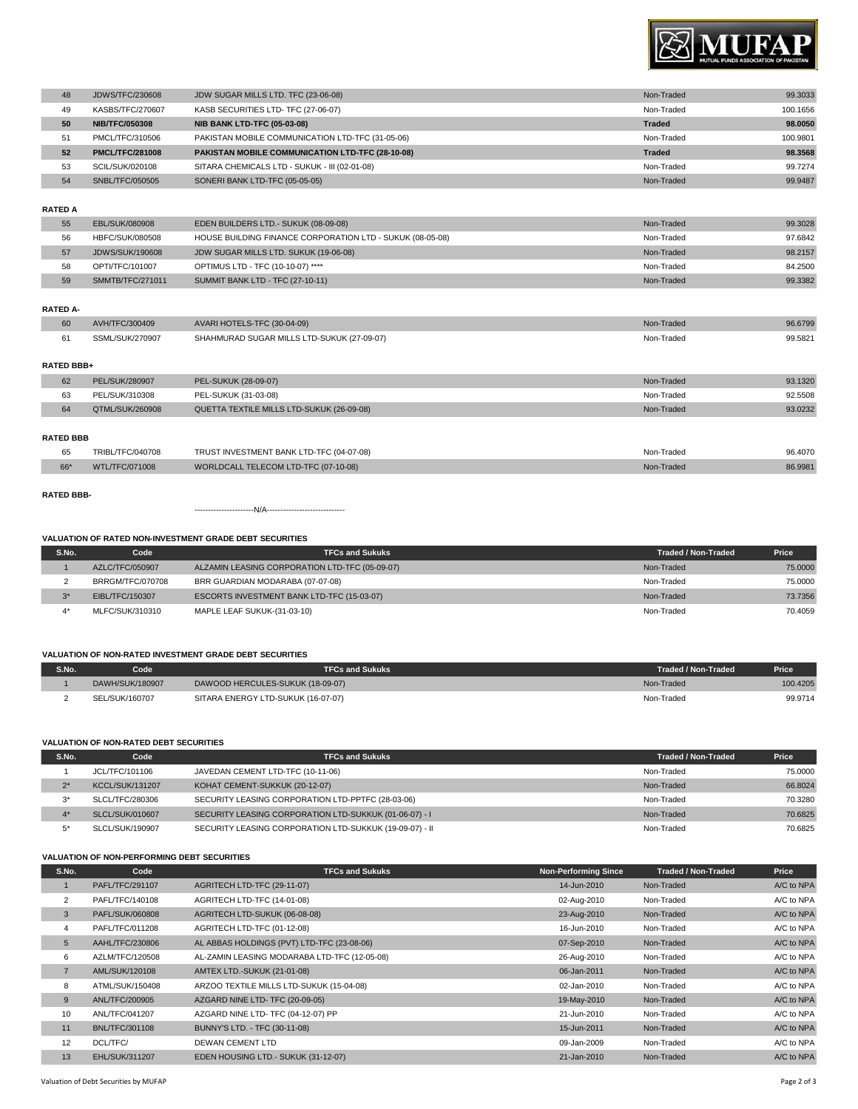

| 48 | <b>JDWS/TFC/230608</b> | JDW SUGAR MILLS LTD. TFC (23-06-08)              | Non-Traded    | 99.3033  |
|----|------------------------|--------------------------------------------------|---------------|----------|
| 49 | KASBS/TFC/270607       | KASB SECURITIES LTD- TFC (27-06-07)              | Non-Traded    | 100.1656 |
| 50 | <b>NIB/TFC/050308</b>  | <b>NIB BANK LTD-TFC (05-03-08)</b>               | <b>Traded</b> | 98.0050  |
| 51 | PMCL/TFC/310506        | PAKISTAN MOBILE COMMUNICATION LTD-TFC (31-05-06) | Non-Traded    | 100.9801 |
| 52 | <b>PMCL/TFC/281008</b> | PAKISTAN MOBILE COMMUNICATION LTD-TFC (28-10-08) | <b>Traded</b> | 98.3568  |
| 53 | SCIL/SUK/020108        | SITARA CHEMICALS LTD - SUKUK - III (02-01-08)    | Non-Traded    | 99.7274  |
| 54 | SNBL/TFC/050505        | SONERI BANK LTD-TFC (05-05-05)                   | Non-Traded    | 99.9487  |
|    |                        |                                                  |               |          |
|    |                        |                                                  |               |          |

#### **RATED A**

| 55 | EBL/SUK/080908   | EDEN BUILDERS LTD.- SUKUK (08-09-08)                      | Non-Traded | 99.3028 |
|----|------------------|-----------------------------------------------------------|------------|---------|
| 56 | HBFC/SUK/080508  | HOUSE BUILDING FINANCE CORPORATION LTD - SUKUK (08-05-08) | Non-Traded | 97.6842 |
| 57 | JDWS/SUK/190608  | JDW SUGAR MILLS LTD. SUKUK (19-06-08)                     | Non-Traded | 98.2157 |
| 58 | OPTI/TFC/101007  | OPTIMUS LTD - TFC (10-10-07) ****                         | Non-Traded | 84.2500 |
| 59 | SMMTB/TFC/271011 | SUMMIT BANK LTD - TFC (27-10-11)                          | Non-Traded | 99.3382 |

# **RATED A-**

| 60 | AVH/TFC/300409 | AVARI HOTELS-TFC (30-04-09)                | -Trade<br>Non- | 96.6799 |
|----|----------------|--------------------------------------------|----------------|---------|
|    | /SUK/270907    | SHAHMURAD SUGAR MILLS LTD-SUKUK (27-09-07) | Non-Trade      | 99.5821 |

### **RATED BBB+**

| 62 | PEL/SUK/280907  | PEL-SUKUK (28-09-07)                      | Non-Traded | 93.1320 |
|----|-----------------|-------------------------------------------|------------|---------|
| 63 | PEL/SUK/310308  | PEL-SUKUK (31-03-08)                      | Non-Traded | 92.5508 |
| 64 | QTML/SUK/260908 | QUETTA TEXTILE MILLS LTD-SUKUK (26-09-08) | Non-Traded | 93.0232 |
|    |                 |                                           |            |         |

# **RATED BBB**

| 65<br>$\sim$ $\sim$ | $-C/040708$<br>'RIBI<br>. | TRUST INVESTMENT BANK LTD-TFC (04-07-08)<br>the contract of the contract of the contract of the contract of the contract of the contract of the contract of | Non-Tradeo | 96.4070<br>. |
|---------------------|---------------------------|-------------------------------------------------------------------------------------------------------------------------------------------------------------|------------|--------------|
| $\sim$              |                           | WORLDCALL TELECOM LTD-TFC (07-10-08)                                                                                                                        | Tradeo     | 86.9981      |

## **RATED BBB-**

----------------------N/A-----------------------------

### **VALUATION OF RATED NON-INVESTMENT GRADE DEBT SECURITIES**

| S.No. | Code             | <b>TFCs and Sukuks</b>                         | Traded / Non-Traded | <b>Price</b> |
|-------|------------------|------------------------------------------------|---------------------|--------------|
|       | AZLC/TFC/050907  | ALZAMIN LEASING CORPORATION LTD-TFC (05-09-07) | Non-Traded          | 75,0000      |
|       | BRRGM/TFC/070708 | BRR GUARDIAN MODARABA (07-07-08)               | Non-Traded          | 75,0000      |
| $3*$  | EIBL/TFC/150307  | ESCORTS INVESTMENT BANK LTD-TFC (15-03-07)     | Non-Traded          | 73.7356      |
|       | MLFC/SUK/310310  | MAPLE LEAF SUKUK-(31-03-10)                    | Non-Traded          | 70.4059      |

## **VALUATION OF NON-RATED INVESTMENT GRADE DEBT SECURITIES**

| S.No. | Code            | <b>TFCs and Sukuks</b>             | <b>Traded / Non-Traded</b> | <b>Price</b> |
|-------|-----------------|------------------------------------|----------------------------|--------------|
|       | DAWH/SUK/180907 | DAWOOD HERCULES-SUKUK (18-09-07)   | Non-Traded                 | 100.4205     |
|       | SEL/SUK/160707  | SITARA ENERGY LTD-SUKUK (16-07-07) | Non-Traded                 | 99.9714      |

### **VALUATION OF NON-RATED DEBT SECURITIES**

| S.No. | Code                   | <b>TFCs and Sukuks</b>                                  | Traded / Non-Traded | Price   |
|-------|------------------------|---------------------------------------------------------|---------------------|---------|
|       | JCL/TFC/101106         | JAVEDAN CEMENT LTD-TFC (10-11-06)                       | Non-Traded          | 75,0000 |
| $2^*$ | <b>KCCL/SUK/131207</b> | KOHAT CEMENT-SUKKUK (20-12-07)                          | Non-Traded          | 66.8024 |
| $2*$  | SLCL/TFC/280306        | SECURITY LEASING CORPORATION LTD-PPTFC (28-03-06)       | Non-Traded          | 70.3280 |
| $4^*$ | SLCL/SUK/010607        | SECURITY LEASING CORPORATION LTD-SUKKUK (01-06-07) - I  | Non-Traded          | 70.6825 |
| E*    | SLCL/SUK/190907        | SECURITY LEASING CORPORATION LTD-SUKKUK (19-09-07) - II | Non-Traded          | 70.6825 |

### **VALUATION OF NON-PERFORMING DEBT SECURITIES**

| S.No.          | Code                  | <b>TFCs and Sukuks</b>                       | <b>Non-Performing Since</b> | <b>Traded / Non-Traded</b> | Price      |
|----------------|-----------------------|----------------------------------------------|-----------------------------|----------------------------|------------|
|                | PAFL/TFC/291107       | AGRITECH LTD-TFC (29-11-07)                  | 14-Jun-2010                 | Non-Traded                 | A/C to NPA |
| 2              | PAFL/TFC/140108       | AGRITECH LTD-TFC (14-01-08)                  | 02-Aug-2010                 | Non-Traded                 | A/C to NPA |
| 3              | PAFL/SUK/060808       | AGRITECH LTD-SUKUK (06-08-08)                | 23-Aug-2010                 | Non-Traded                 | A/C to NPA |
| 4              | PAFL/TFC/011208       | AGRITECH LTD-TFC (01-12-08)                  | 16-Jun-2010                 | Non-Traded                 | A/C to NPA |
| 5              | AAHL/TFC/230806       | AL ABBAS HOLDINGS (PVT) LTD-TFC (23-08-06)   | 07-Sep-2010                 | Non-Traded                 | A/C to NPA |
| 6              | AZLM/TFC/120508       | AL-ZAMIN LEASING MODARABA LTD-TFC (12-05-08) | 26-Aug-2010                 | Non-Traded                 | A/C to NPA |
| $\overline{7}$ | AML/SUK/120108        | AMTEX LTD.-SUKUK (21-01-08)                  | 06-Jan-2011                 | Non-Traded                 | A/C to NPA |
| 8              | ATML/SUK/150408       | ARZOO TEXTILE MILLS LTD-SUKUK (15-04-08)     | 02-Jan-2010                 | Non-Traded                 | A/C to NPA |
| 9              | ANL/TFC/200905        | AZGARD NINE LTD- TFC (20-09-05)              | 19-May-2010                 | Non-Traded                 | A/C to NPA |
| 10             | ANL/TFC/041207        | AZGARD NINE LTD- TFC (04-12-07) PP           | 21-Jun-2010                 | Non-Traded                 | A/C to NPA |
| 11             | <b>BNL/TFC/301108</b> | BUNNY'S LTD. - TFC (30-11-08)                | 15-Jun-2011                 | Non-Traded                 | A/C to NPA |
| 12             | DCL/TFC/              | <b>DEWAN CEMENT LTD</b>                      | 09-Jan-2009                 | Non-Traded                 | A/C to NPA |
| 13             | <b>EHL/SUK/311207</b> | EDEN HOUSING LTD.- SUKUK (31-12-07)          | 21-Jan-2010                 | Non-Traded                 | A/C to NPA |